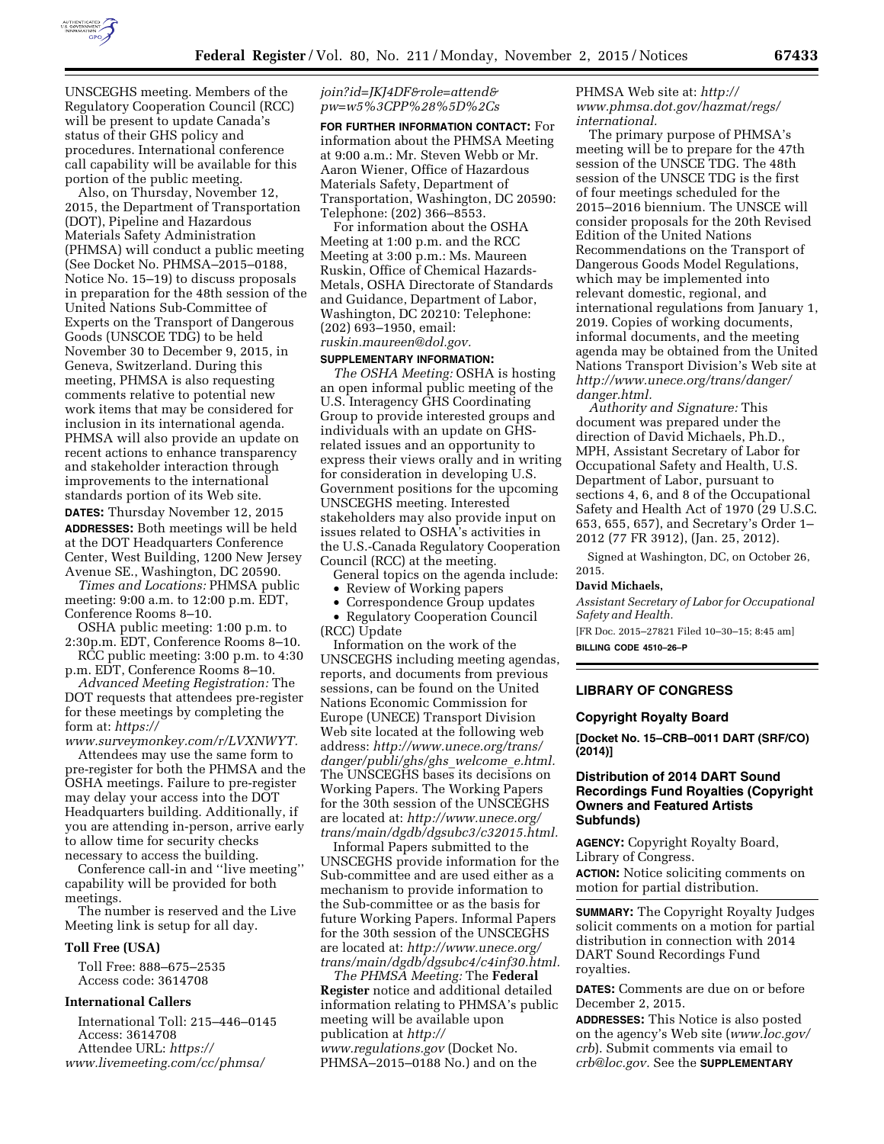

UNSCEGHS meeting. Members of the Regulatory Cooperation Council (RCC) will be present to update Canada's status of their GHS policy and procedures. International conference call capability will be available for this portion of the public meeting.

Also, on Thursday, November 12, 2015, the Department of Transportation (DOT), Pipeline and Hazardous Materials Safety Administration (PHMSA) will conduct a public meeting (See Docket No. PHMSA–2015–0188, Notice No. 15–19) to discuss proposals in preparation for the 48th session of the United Nations Sub-Committee of Experts on the Transport of Dangerous Goods (UNSCOE TDG) to be held November 30 to December 9, 2015, in Geneva, Switzerland. During this meeting, PHMSA is also requesting comments relative to potential new work items that may be considered for inclusion in its international agenda. PHMSA will also provide an update on recent actions to enhance transparency and stakeholder interaction through improvements to the international standards portion of its Web site. **DATES:** Thursday November 12, 2015 **ADDRESSES:** Both meetings will be held at the DOT Headquarters Conference Center, West Building, 1200 New Jersey

Avenue SE., Washington, DC 20590. *Times and Locations:* PHMSA public meeting: 9:00 a.m. to 12:00 p.m. EDT, Conference Rooms 8–10.

OSHA public meeting: 1:00 p.m. to 2:30p.m. EDT, Conference Rooms 8–10.

RCC public meeting: 3:00 p.m. to 4:30 p.m. EDT, Conference Rooms 8–10.

*Advanced Meeting Registration:* The DOT requests that attendees pre-register for these meetings by completing the form at: *https://*

*www.surveymonkey.com/r/LVXNWYT.*  Attendees may use the same form to pre-register for both the PHMSA and the OSHA meetings. Failure to pre-register may delay your access into the DOT Headquarters building. Additionally, if you are attending in-person, arrive early to allow time for security checks necessary to access the building.

Conference call-in and ''live meeting'' capability will be provided for both meetings.

The number is reserved and the Live Meeting link is setup for all day.

#### **Toll Free (USA)**

Toll Free: 888–675–2535 Access code: 3614708

# **International Callers**

International Toll: 215–446–0145 Access: 3614708 Attendee URL: *https:// www.livemeeting.com/cc/phmsa/*

## *join?id=JKJ4DF&role=attend& pw=w5%3CPP%28%5D%2Cs*

**FOR FURTHER INFORMATION CONTACT:** For information about the PHMSA Meeting at 9:00 a.m.: Mr. Steven Webb or Mr. Aaron Wiener, Office of Hazardous Materials Safety, Department of Transportation, Washington, DC 20590: Telephone: (202) 366–8553.

For information about the OSHA Meeting at 1:00 p.m. and the RCC Meeting at 3:00 p.m.: Ms. Maureen Ruskin, Office of Chemical Hazards-Metals, OSHA Directorate of Standards and Guidance, Department of Labor, Washington, DC 20210: Telephone: (202) 693–1950, email: *ruskin.maureen@dol.gov.* 

## **SUPPLEMENTARY INFORMATION:**

*The OSHA Meeting:* OSHA is hosting an open informal public meeting of the U.S. Interagency GHS Coordinating Group to provide interested groups and individuals with an update on GHSrelated issues and an opportunity to express their views orally and in writing for consideration in developing U.S. Government positions for the upcoming UNSCEGHS meeting. Interested stakeholders may also provide input on issues related to OSHA's activities in the U.S.-Canada Regulatory Cooperation Council (RCC) at the meeting.

General topics on the agenda include: • Review of Working papers

• Correspondence Group updates

• Regulatory Cooperation Council (RCC) Update

Information on the work of the UNSCEGHS including meeting agendas, reports, and documents from previous sessions, can be found on the United Nations Economic Commission for Europe (UNECE) Transport Division Web site located at the following web address: *http://www.unece.org/trans/ danger/publi/ghs/ghs*\_*welcome*\_*e.html.*  The UNSCEGHS bases its decisions on Working Papers. The Working Papers for the 30th session of the UNSCEGHS are located at: *http://www.unece.org/ trans/main/dgdb/dgsubc3/c32015.html.* 

Informal Papers submitted to the UNSCEGHS provide information for the Sub-committee and are used either as a mechanism to provide information to the Sub-committee or as the basis for future Working Papers. Informal Papers for the 30th session of the UNSCEGHS are located at: *http://www.unece.org/ trans/main/dgdb/dgsubc4/c4inf30.html.* 

*The PHMSA Meeting:* The **Federal Register** notice and additional detailed information relating to PHMSA's public meeting will be available upon publication at *http:// www.regulations.gov* (Docket No. PHMSA–2015–0188 No.) and on the

# PHMSA Web site at: *http:// www.phmsa.dot.gov/hazmat/regs/ international.*

The primary purpose of PHMSA's meeting will be to prepare for the 47th session of the UNSCE TDG. The 48th session of the UNSCE TDG is the first of four meetings scheduled for the 2015–2016 biennium. The UNSCE will consider proposals for the 20th Revised Edition of the United Nations Recommendations on the Transport of Dangerous Goods Model Regulations, which may be implemented into relevant domestic, regional, and international regulations from January 1, 2019. Copies of working documents, informal documents, and the meeting agenda may be obtained from the United Nations Transport Division's Web site at *http://www.unece.org/trans/danger/ danger.html.* 

*Authority and Signature:* This document was prepared under the direction of David Michaels, Ph.D., MPH, Assistant Secretary of Labor for Occupational Safety and Health, U.S. Department of Labor, pursuant to sections 4, 6, and 8 of the Occupational Safety and Health Act of 1970 (29 U.S.C. 653, 655, 657), and Secretary's Order 1– 2012 (77 FR 3912), (Jan. 25, 2012).

Signed at Washington, DC, on October 26, 2015.

#### **David Michaels,**

*Assistant Secretary of Labor for Occupational Safety and Health.* 

[FR Doc. 2015–27821 Filed 10–30–15; 8:45 am] **BILLING CODE 4510–26–P** 

# **LIBRARY OF CONGRESS**

# **Copyright Royalty Board**

**[Docket No. 15–CRB–0011 DART (SRF/CO) (2014)]** 

## **Distribution of 2014 DART Sound Recordings Fund Royalties (Copyright Owners and Featured Artists Subfunds)**

**AGENCY:** Copyright Royalty Board, Library of Congress.

**ACTION:** Notice soliciting comments on motion for partial distribution.

**SUMMARY:** The Copyright Royalty Judges solicit comments on a motion for partial distribution in connection with 2014 DART Sound Recordings Fund royalties.

**DATES:** Comments are due on or before December 2, 2015.

**ADDRESSES:** This Notice is also posted on the agency's Web site (*www.loc.gov/ crb*). Submit comments via email to *crb@loc.gov.* See the **SUPPLEMENTARY**